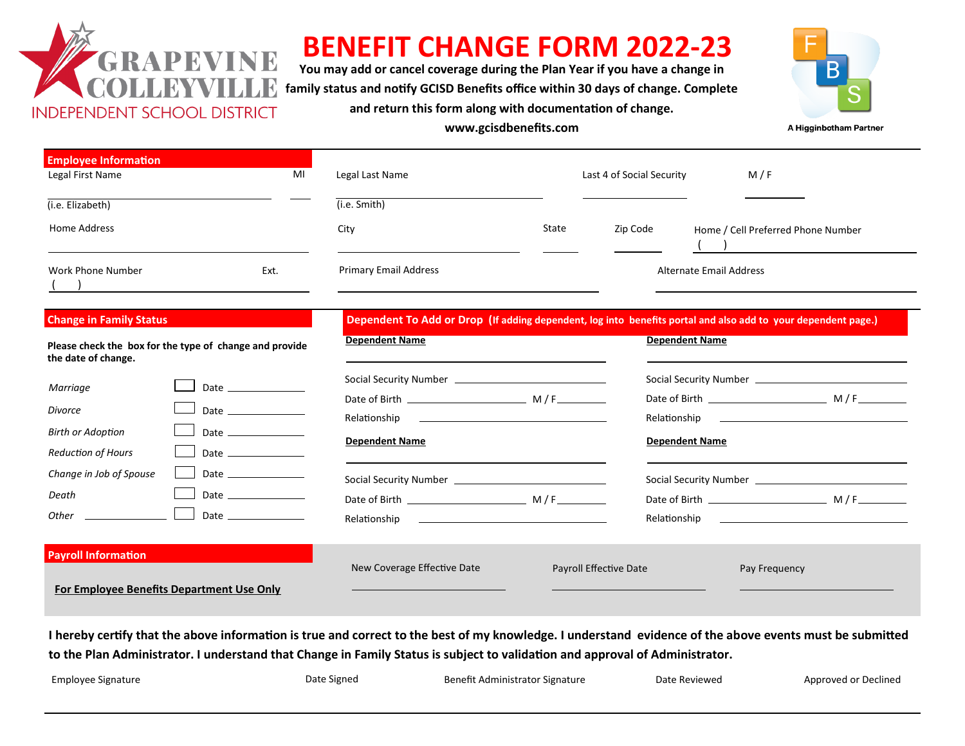

# **BENEFIT CHANGE FORM 2022-23**

**You may add or cancel coverage during the Plan Year if you have a change in family status and notify GCISD Benefits office within 30 days of change. Complete and return this form along with documentation of change.** 



**www.gcisdbenefits.com**

A Higginbotham Partner

| <b>Employee Information</b> |      |                              |       |                           |                                    |
|-----------------------------|------|------------------------------|-------|---------------------------|------------------------------------|
| Legal First Name            | MI   | Legal Last Name              |       | Last 4 of Social Security | M/F                                |
| (i.e. Elizabeth)            |      | (i.e. Smith)                 |       |                           |                                    |
| Home Address                |      | City                         | State | Zip Code                  | Home / Cell Preferred Phone Number |
|                             |      |                              |       |                           |                                    |
| Work Phone Number           | Ext. | <b>Primary Email Address</b> |       |                           | Alternate Email Address            |

#### **Change in Family Status**

Please check the box for the type of change and provide **the date of change.** 

| Marriage                  | Date and the contract of the contract of the contract of the contract of the contract of the contract of the contract of the contract of the contract of the contract of the contract of the contract of the contract of the c |
|---------------------------|--------------------------------------------------------------------------------------------------------------------------------------------------------------------------------------------------------------------------------|
| Divorce                   | Date $\qquad$                                                                                                                                                                                                                  |
| <b>Birth or Adoption</b>  |                                                                                                                                                                                                                                |
| <b>Reduction of Hours</b> | Date $\qquad$                                                                                                                                                                                                                  |
| Change in Job of Spouse   |                                                                                                                                                                                                                                |
| Death                     |                                                                                                                                                                                                                                |
| ther                      | Date                                                                                                                                                                                                                           |

**For Employee Benefits Department Use Only**

### **Payroll Information**

| Dependent To Add or Drop (If adding dependent, log into benefits portal and also add to your dependent page. |  |  |  |  |  |  |  |
|--------------------------------------------------------------------------------------------------------------|--|--|--|--|--|--|--|
|                                                                                                              |  |  |  |  |  |  |  |

| <b>Dependent Name</b>       |                        | <b>Dependent Name</b> |               |
|-----------------------------|------------------------|-----------------------|---------------|
|                             |                        |                       |               |
|                             |                        |                       |               |
|                             |                        |                       |               |
| New Coverage Effective Date | Payroll Effective Date |                       | Pay Frequency |

**I hereby certify that the above information is true and correct to the best of my knowledge. I understand evidence of the above events must be submitted to the Plan Administrator. I understand that Change in Family Status is subject to validation and approval of Administrator.** 

| Employee Signature | Date Signed | Benefit Administrator Signature | Date Reviewed | Approved or Declined |
|--------------------|-------------|---------------------------------|---------------|----------------------|
|                    |             |                                 |               |                      |